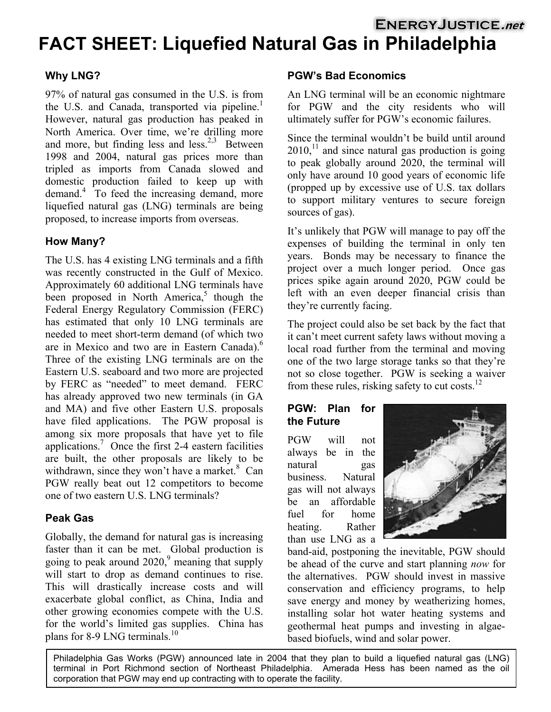# **ENERGYJUSTICE.net FACT SHEET: Liquefied Natural Gas in Philadelphia**

97% of natural gas consumed in the U.S. is from the U.S. and Canada, transported via pipeline.<sup>[1](#page-2-0)</sup> However, natural gas production has peaked in North America. Over time, we're drilling more and more, but finding less and less.<sup>[2,](#page-2-1)[3](#page-2-2)</sup> Between 1998 and 2004, natural gas prices more than tripled as imports from Canada slowed and domestic production failed to keep up with demand.[4](#page-2-3) To feed the increasing demand, more liquefied natural gas (LNG) terminals are being proposed, to increase imports from overseas.

# **How Many?**

The U.S. has 4 existing LNG terminals and a fifth was recently constructed in the Gulf of Mexico. Approximately 60 additional LNG terminals have been proposed in North America, $5$  though the Federal Energy Regulatory Commission (FERC) has estimated that only 10 LNG terminals are needed to meet short-term demand (of which two are in Mexico and two are in Eastern Canada).<sup>[6](#page-2-5)</sup> Three of the existing LNG terminals are on the Eastern U.S. seaboard and two more are projected by FERC as "needed" to meet demand. FERC has already approved two new terminals (in GA and MA) and five other Eastern U.S. proposals have filed applications. The PGW proposal is among six more proposals that have yet to file applications. [7](#page-2-6) Once the first 2-4 eastern facilities are built, the other proposals are likely to be withdrawn, since they won't have a market. $8$  Can PGW really beat out 12 competitors to become one of two eastern U.S. LNG terminals?

# **Peak Gas**

Globally, the demand for natural gas is increasing faster than it can be met. Global production is going to peak around  $2020$ , meaning that supply will start to drop as demand continues to rise. This will drastically increase costs and will exacerbate global conflict, as China, India and other growing economies compete with the U.S. for the world's limited gas supplies. China has plans for 8-9 LNG terminals.<sup>10</sup>

### **Why LNG? PGW's Bad Economics**

An LNG terminal will be an economic nightmare for PGW and the city residents who will ultimately suffer for PGW's economic failures.

Since the terminal wouldn't be build until around  $2010$ ,<sup>11</sup> and since natural gas production is going to peak globally around 2020, the terminal will only have around 10 good years of economic life (propped up by excessive use of U.S. tax dollars to support military ventures to secure foreign sources of gas).

It's unlikely that PGW will manage to pay off the expenses of building the terminal in only ten years. Bonds may be necessary to finance the project over a much longer period. Once gas prices spike again around 2020, PGW could be left with an even deeper financial crisis than they're currently facing.

The project could also be set back by the fact that it can't meet current safety laws without moving a local road further from the terminal and moving one of the two large storage tanks so that they're not so close together. PGW is seeking a waiver from these rules, risking safety to cut costs. $^{12}$  $^{12}$  $^{12}$ 

#### **PGW: Plan for the Future**

PGW will not always be in the natural gas business. Natural gas will not always be an affordable fuel for home heating. Rather than use LNG as a



band-aid, postponing the inevitable, PGW should be ahead of the curve and start planning *now* for the alternatives. PGW should invest in massive conservation and efficiency programs, to help save energy and money by weatherizing homes, installing solar hot water heating systems and geothermal heat pumps and investing in algaebased biofuels, wind and solar power.

Philadelphia Gas Works (PGW) announced late in 2004 that they plan to build a liquefied natural gas (LNG) terminal in Port Richmond section of Northeast Philadelphia. Amerada Hess has been named as the oil corporation that PGW may end up contracting with to operate the facility.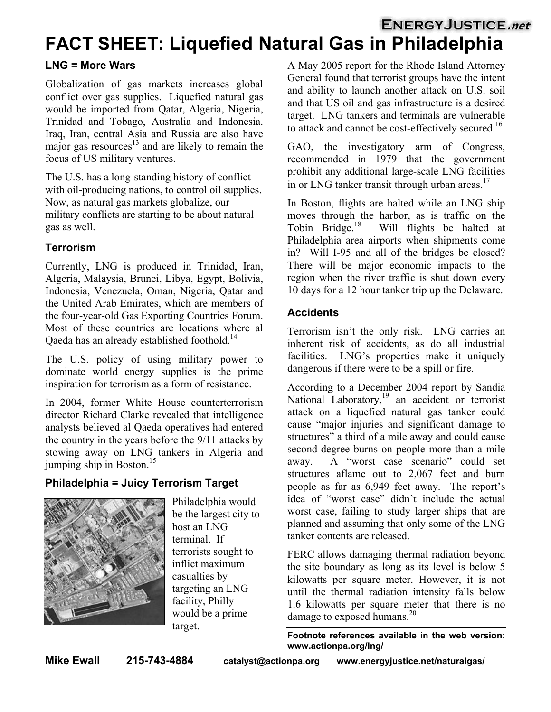# **ENERGYJUSTICE.net FACT SHEET: Liquefied Natural Gas in Philadelphia**

### **LNG = More Wars**

Globalization of gas markets increases global conflict over gas supplies. Liquefied natural gas would be imported from Qatar, Algeria, Nigeria, Trinidad and Tobago, Australia and Indonesia. Iraq, Iran, central Asia and Russia are also have major gas resources $13$  and are likely to remain the focus of US military ventures.

The U.S. has a long-standing history of conflict with oil-producing nations, to control oil supplies. Now, as natural gas markets globalize, our military conflicts are starting to be about natural gas as well.

# **Terrorism**

Currently, LNG is produced in Trinidad, Iran, Algeria, Malaysia, Brunei, Libya, Egypt, Bolivia, Indonesia, Venezuela, Oman, Nigeria, Qatar and the United Arab Emirates, which are members of the four-year-old Gas Exporting Countries Forum. Most of these countries are locations where al Qaeda has an already established foothold.<sup>[14](#page-2-13)</sup>

The U.S. policy of using military power to dominate world energy supplies is the prime inspiration for terrorism as a form of resistance.

In 2004, former White House counterterrorism director Richard Clarke revealed that intelligence analysts believed al Qaeda operatives had entered the country in the years before the 9/11 attacks by stowing away on LNG tankers in Algeria and jumping ship in Boston. $15$ 

# **Philadelphia = Juicy Terrorism Target**



Philadelphia would be the largest city to host an LNG terminal. If terrorists sought to inflict maximum casualties by targeting an LNG facility, Philly would be a prime target.

A May 2005 report for the Rhode Island Attorney General found that terrorist groups have the intent and ability to launch another attack on U.S. soil and that US oil and gas infrastructure is a desired target. LNG tankers and terminals are vulnerable to attack and cannot be cost-effectively secured.<sup>[16](#page-2-15)</sup>

GAO, the investigatory arm of Congress, recommended in 1979 that the government prohibit any additional large-scale LNG facilities in or LNG tanker transit through urban areas.<sup>[17](#page-2-16)</sup>

In Boston, flights are halted while an LNG ship moves through the harbor, as is traffic on the Tobin Bridge.<sup>18</sup> Will flights be halted at Will flights be halted at Philadelphia area airports when shipments come in? Will I-95 and all of the bridges be closed? There will be major economic impacts to the region when the river traffic is shut down every 10 days for a 12 hour tanker trip up the Delaware.

# **Accidents**

Terrorism isn't the only risk. LNG carries an inherent risk of accidents, as do all industrial facilities. LNG's properties make it uniquely dangerous if there were to be a spill or fire.

According to a December 2004 report by Sandia National Laboratory,<sup>19</sup> an accident or terrorist attack on a liquefied natural gas tanker could cause "major injuries and significant damage to structures" a third of a mile away and could cause second-degree burns on people more than a mile away. A "worst case scenario" could set structures aflame out to 2,067 feet and burn people as far as 6,949 feet away. The report's idea of "worst case" didn't include the actual worst case, failing to study larger ships that are planned and assuming that only some of the LNG tanker contents are released.

FERC allows damaging thermal radiation beyond the site boundary as long as its level is below 5 kilowatts per square meter. However, it is not until the thermal radiation intensity falls below 1.6 kilowatts per square meter that there is no damage to exposed humans.<sup>20</sup>

**Footnote references available in the web version: www.actionpa.org/lng/**